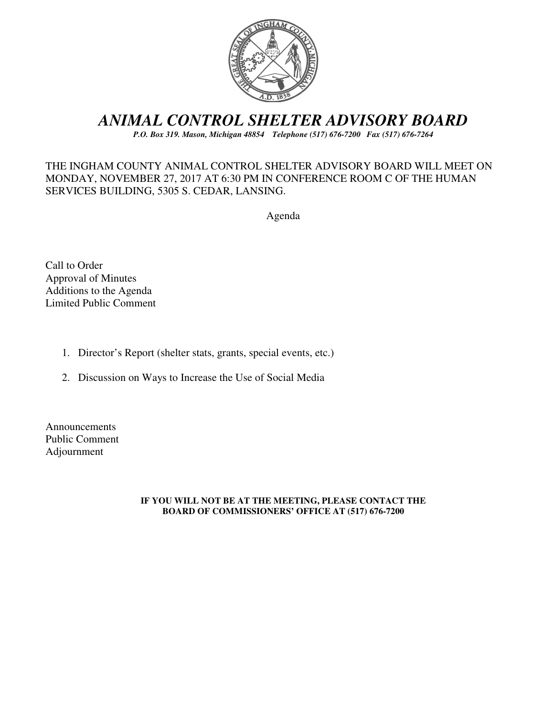

# *ANIMAL CONTROL SHELTER ADVISORY BOARD*

*P.O. Box 319. Mason, Michigan 48854 Telephone (517) 676-7200 Fax (517) 676-7264*

### THE INGHAM COUNTY ANIMAL CONTROL SHELTER ADVISORY BOARD WILL MEET ON MONDAY, NOVEMBER 27, 2017 AT 6:30 PM IN CONFERENCE ROOM C OF THE HUMAN SERVICES BUILDING, 5305 S. CEDAR, LANSING.

Agenda

Call to Order Approval of Minutes Additions to the Agenda Limited Public Comment

- 1. Director's Report (shelter stats, grants, special events, etc.)
- 2. Discussion on Ways to Increase the Use of Social Media

Announcements Public Comment Adjournment

#### **IF YOU WILL NOT BE AT THE MEETING, PLEASE CONTACT THE BOARD OF COMMISSIONERS' OFFICE AT (517) 676-7200**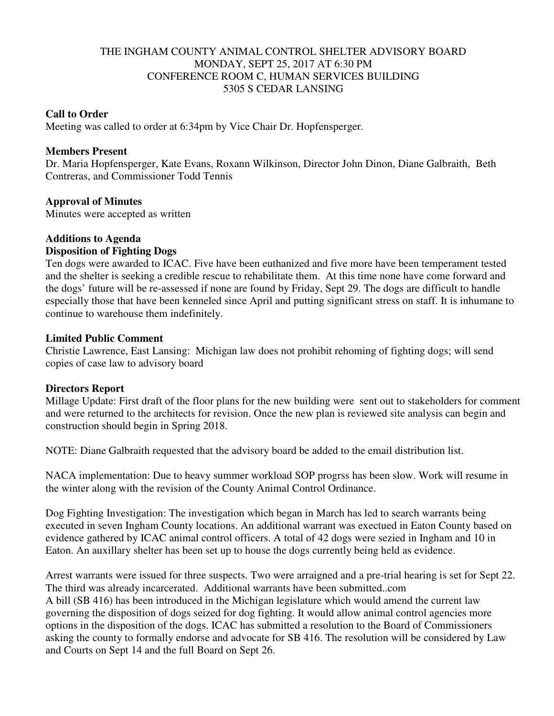### THE INGHAM COUNTY ANIMAL CONTROL SHELTER ADVISORY BOARD MONDAY, SEPT 25, 2017 AT 6:30 PM CONFERENCE ROOM C, HUMAN SERVICES BUILDING 5305 S CEDAR LANSING

### **Call to Order**

Meeting was called to order at 6:34pm by Vice Chair Dr. Hopfensperger.

### **Members Present**

Dr. Maria Hopfensperger, Kate Evans, Roxann Wilkinson, Director John Dinon, Diane Galbraith, Beth Contreras, and Commissioner Todd Tennis

### **Approval of Minutes**

Minutes were accepted as written

## **Additions to Agenda**

### **Disposition of Fighting Dogs**

Ten dogs were awarded to ICAC. Five have been euthanized and five more have been temperament tested and the shelter is seeking a credible rescue to rehabilitate them. At this time none have come forward and the dogs' future will be re-assessed if none are found by Friday, Sept 29. The dogs are difficult to handle especially those that have been kenneled since April and putting significant stress on staff. It is inhumane to continue to warehouse them indefinitely.

### **Limited Public Comment**

Christie Lawrence, East Lansing: Michigan law does not prohibit rehoming of fighting dogs; will send copies of case law to advisory board

### **Directors Report**

Millage Update: First draft of the floor plans for the new building were sent out to stakeholders for comment and were returned to the architects for revision. Once the new plan is reviewed site analysis can begin and construction should begin in Spring 2018.

NOTE: Diane Galbraith requested that the advisory board be added to the email distribution list.

NACA implementation: Due to heavy summer workload SOP progrss has been slow. Work will resume in the winter along with the revision of the County Animal Control Ordinance.

Dog Fighting Investigation: The investigation which began in March has led to search warrants being executed in seven Ingham County locations. An additional warrant was exectued in Eaton County based on evidence gathered by ICAC animal control officers. A total of 42 dogs were sezied in Ingham and 10 in Eaton. An auxillary shelter has been set up to house the dogs currently being held as evidence.

Arrest warrants were issued for three suspects. Two were arraigned and a pre-trial hearing is set for Sept 22. The third was already incarcerated. Additional warrants have been submitted..com A bill (SB 416) has been introduced in the Michigan legislature which would amend the current law governing the disposition of dogs seized for dog fighting. It would allow animal control agencies more options in the disposition of the dogs. ICAC has submitted a resolution to the Board of Commissioners asking the county to formally endorse and advocate for SB 416. The resolution will be considered by Law and Courts on Sept 14 and the full Board on Sept 26.